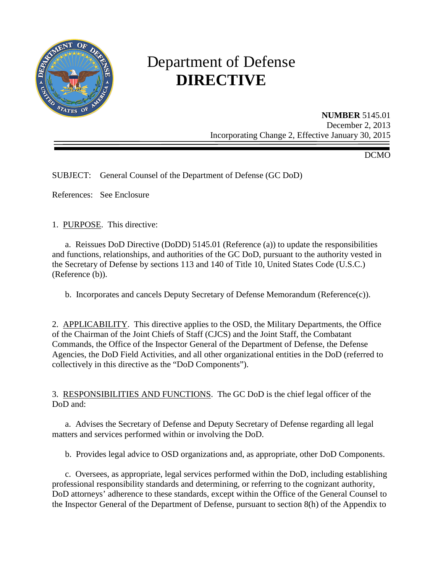

# Department of Defense **DIRECTIVE**

**NUMBER** 5145.01 December 2, 2013 Incorporating Change 2, Effective January 30, 2015

DCMO

SUBJECT: General Counsel of the Department of Defense (GC DoD)

References: See Enclosure

1. PURPOSE. This directive:

a. Reissues DoD Directive (DoDD) 5145.01 (Reference (a)) to update the responsibilities and functions, relationships, and authorities of the GC DoD, pursuant to the authority vested in the Secretary of Defense by sections 113 and 140 of Title 10, United States Code (U.S.C.) (Reference (b)).

b. Incorporates and cancels Deputy Secretary of Defense Memorandum (Reference(c)).

2. APPLICABILITY. This directive applies to the OSD, the Military Departments, the Office of the Chairman of the Joint Chiefs of Staff (CJCS) and the Joint Staff, the Combatant Commands, the Office of the Inspector General of the Department of Defense, the Defense Agencies, the DoD Field Activities, and all other organizational entities in the DoD (referred to collectively in this directive as the "DoD Components").

3. RESPONSIBILITIES AND FUNCTIONS. The GC DoD is the chief legal officer of the DoD and:

a. Advises the Secretary of Defense and Deputy Secretary of Defense regarding all legal matters and services performed within or involving the DoD.

b. Provides legal advice to OSD organizations and, as appropriate, other DoD Components.

c. Oversees, as appropriate, legal services performed within the DoD, including establishing professional responsibility standards and determining, or referring to the cognizant authority, DoD attorneys' adherence to these standards, except within the Office of the General Counsel to the Inspector General of the Department of Defense, pursuant to section 8(h) of the Appendix to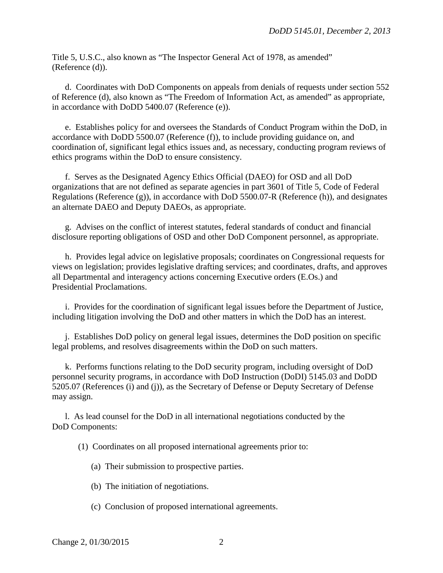Title 5, U.S.C., also known as "The Inspector General Act of 1978, as amended" (Reference (d)).

 d. Coordinates with DoD Components on appeals from denials of requests under section 552 of Reference (d), also known as "The Freedom of Information Act, as amended" as appropriate, in accordance with DoDD 5400.07 (Reference (e)).

 e. Establishes policy for and oversees the Standards of Conduct Program within the DoD, in accordance with DoDD 5500.07 (Reference (f)), to include providing guidance on, and coordination of, significant legal ethics issues and, as necessary, conducting program reviews of ethics programs within the DoD to ensure consistency.

 f. Serves as the Designated Agency Ethics Official (DAEO) for OSD and all DoD organizations that are not defined as separate agencies in part 3601 of Title 5, Code of Federal Regulations (Reference (g)), in accordance with DoD 5500.07-R (Reference (h)), and designates an alternate DAEO and Deputy DAEOs, as appropriate.

 g. Advises on the conflict of interest statutes, federal standards of conduct and financial disclosure reporting obligations of OSD and other DoD Component personnel, as appropriate.

 h. Provides legal advice on legislative proposals; coordinates on Congressional requests for views on legislation; provides legislative drafting services; and coordinates, drafts, and approves all Departmental and interagency actions concerning Executive orders (E.Os.) and Presidential Proclamations.

 i. Provides for the coordination of significant legal issues before the Department of Justice, including litigation involving the DoD and other matters in which the DoD has an interest.

 j. Establishes DoD policy on general legal issues, determines the DoD position on specific legal problems, and resolves disagreements within the DoD on such matters.

 k. Performs functions relating to the DoD security program, including oversight of DoD personnel security programs, in accordance with DoD Instruction (DoDI) 5145.03 and DoDD 5205.07 (References (i) and (j)), as the Secretary of Defense or Deputy Secretary of Defense may assign.

 l. As lead counsel for the DoD in all international negotiations conducted by the DoD Components:

(1) Coordinates on all proposed international agreements prior to:

- (a) Their submission to prospective parties.
- (b) The initiation of negotiations.
- (c) Conclusion of proposed international agreements.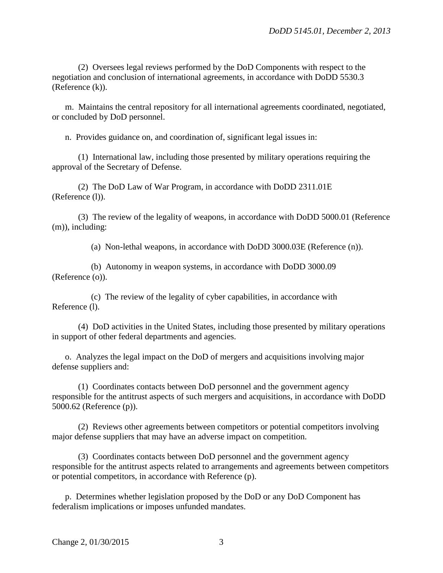(2) Oversees legal reviews performed by the DoD Components with respect to the negotiation and conclusion of international agreements, in accordance with DoDD 5530.3 (Reference (k)).

 m. Maintains the central repository for all international agreements coordinated, negotiated, or concluded by DoD personnel.

n. Provides guidance on, and coordination of, significant legal issues in:

 (1) International law, including those presented by military operations requiring the approval of the Secretary of Defense.

 (2) The DoD Law of War Program, in accordance with DoDD 2311.01E (Reference (l)).

 (3) The review of the legality of weapons, in accordance with DoDD 5000.01 (Reference (m)), including:

(a) Non-lethal weapons, in accordance with DoDD 3000.03E (Reference (n)).

(b) Autonomy in weapon systems, in accordance with DoDD 3000.09 (Reference (o)).

(c) The review of the legality of cyber capabilities, in accordance with Reference (l).

 (4) DoD activities in the United States, including those presented by military operations in support of other federal departments and agencies.

 o. Analyzes the legal impact on the DoD of mergers and acquisitions involving major defense suppliers and:

 (1) Coordinates contacts between DoD personnel and the government agency responsible for the antitrust aspects of such mergers and acquisitions, in accordance with DoDD 5000.62 (Reference (p)).

 (2) Reviews other agreements between competitors or potential competitors involving major defense suppliers that may have an adverse impact on competition.

 (3) Coordinates contacts between DoD personnel and the government agency responsible for the antitrust aspects related to arrangements and agreements between competitors or potential competitors, in accordance with Reference (p).

 p. Determines whether legislation proposed by the DoD or any DoD Component has federalism implications or imposes unfunded mandates.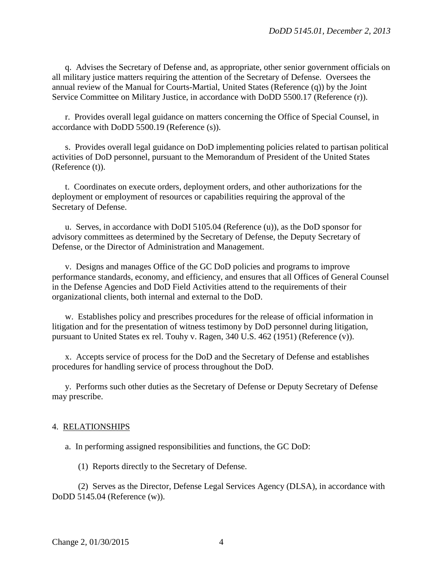q. Advises the Secretary of Defense and, as appropriate, other senior government officials on all military justice matters requiring the attention of the Secretary of Defense. Oversees the annual review of the Manual for Courts-Martial, United States (Reference (q)) by the Joint Service Committee on Military Justice, in accordance with DoDD 5500.17 (Reference (r)).

 r. Provides overall legal guidance on matters concerning the Office of Special Counsel, in accordance with DoDD 5500.19 (Reference (s)).

s. Provides overall legal guidance on DoD implementing policies related to partisan political activities of DoD personnel, pursuant to the Memorandum of President of the United States (Reference (t)).

 t. Coordinates on execute orders, deployment orders, and other authorizations for the deployment or employment of resources or capabilities requiring the approval of the Secretary of Defense.

 u. Serves, in accordance with DoDI 5105.04 (Reference (u)), as the DoD sponsor for advisory committees as determined by the Secretary of Defense, the Deputy Secretary of Defense, or the Director of Administration and Management.

 v. Designs and manages Office of the GC DoD policies and programs to improve performance standards, economy, and efficiency, and ensures that all Offices of General Counsel in the Defense Agencies and DoD Field Activities attend to the requirements of their organizational clients, both internal and external to the DoD.

 w. Establishes policy and prescribes procedures for the release of official information in litigation and for the presentation of witness testimony by DoD personnel during litigation, pursuant to United States ex rel. Touhy v. Ragen, 340 U.S. 462 (1951) (Reference (v)).

 x. Accepts service of process for the DoD and the Secretary of Defense and establishes procedures for handling service of process throughout the DoD.

 y. Performs such other duties as the Secretary of Defense or Deputy Secretary of Defense may prescribe.

#### 4. RELATIONSHIPS

a. In performing assigned responsibilities and functions, the GC DoD:

(1) Reports directly to the Secretary of Defense.

 (2) Serves as the Director, Defense Legal Services Agency (DLSA), in accordance with DoDD 5145.04 (Reference (w)).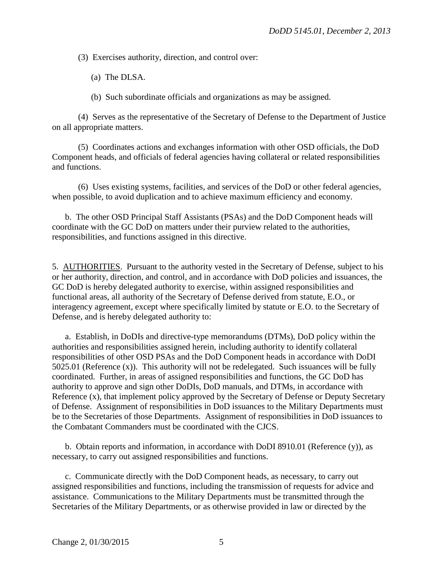(3) Exercises authority, direction, and control over:

(a) The DLSA.

(b) Such subordinate officials and organizations as may be assigned.

 (4) Serves as the representative of the Secretary of Defense to the Department of Justice on all appropriate matters.

 (5) Coordinates actions and exchanges information with other OSD officials, the DoD Component heads, and officials of federal agencies having collateral or related responsibilities and functions.

 (6) Uses existing systems, facilities, and services of the DoD or other federal agencies, when possible, to avoid duplication and to achieve maximum efficiency and economy.

 b. The other OSD Principal Staff Assistants (PSAs) and the DoD Component heads will coordinate with the GC DoD on matters under their purview related to the authorities, responsibilities, and functions assigned in this directive.

5. AUTHORITIES. Pursuant to the authority vested in the Secretary of Defense, subject to his or her authority, direction, and control, and in accordance with DoD policies and issuances, the GC DoD is hereby delegated authority to exercise, within assigned responsibilities and functional areas, all authority of the Secretary of Defense derived from statute, E.O., or interagency agreement, except where specifically limited by statute or E.O. to the Secretary of Defense, and is hereby delegated authority to:

a. Establish*,* in DoDIs and directive-type memorandums (DTMs), DoD policy within the authorities and responsibilities assigned herein, including authority to identify collateral responsibilities of other OSD PSAs and the DoD Component heads in accordance with DoDI 5025.01 (Reference  $(x)$ ). This authority will not be redelegated. Such issuances will be fully coordinated. Further, in areas of assigned responsibilities and functions, the GC DoD has authority to approve and sign other DoDIs, DoD manuals, and DTMs, in accordance with Reference (x), that implement policy approved by the Secretary of Defense or Deputy Secretary of Defense. Assignment of responsibilities in DoD issuances to the Military Departments must be to the Secretaries of those Departments. Assignment of responsibilities in DoD issuances to the Combatant Commanders must be coordinated with the CJCS.

 b. Obtain reports and information, in accordance with DoDI 8910.01 (Reference (y)), as necessary, to carry out assigned responsibilities and functions.

 c. Communicate directly with the DoD Component heads, as necessary, to carry out assigned responsibilities and functions, including the transmission of requests for advice and assistance. Communications to the Military Departments must be transmitted through the Secretaries of the Military Departments, or as otherwise provided in law or directed by the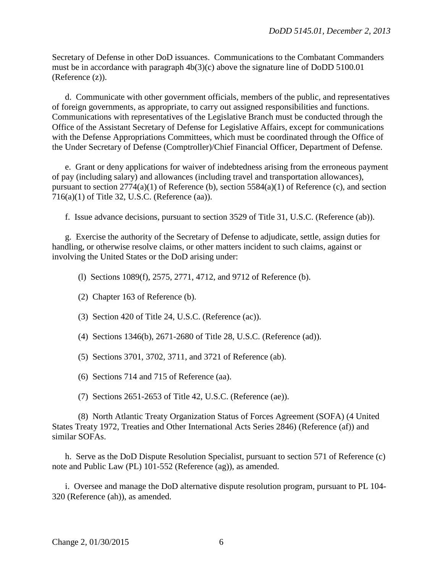Secretary of Defense in other DoD issuances. Communications to the Combatant Commanders must be in accordance with paragraph 4b(3)(c) above the signature line of DoDD 5100.01 (Reference (z)).

 d. Communicate with other government officials, members of the public, and representatives of foreign governments, as appropriate, to carry out assigned responsibilities and functions. Communications with representatives of the Legislative Branch must be conducted through the Office of the Assistant Secretary of Defense for Legislative Affairs, except for communications with the Defense Appropriations Committees, which must be coordinated through the Office of the Under Secretary of Defense (Comptroller)/Chief Financial Officer, Department of Defense.

 e. Grant or deny applications for waiver of indebtedness arising from the erroneous payment of pay (including salary) and allowances (including travel and transportation allowances), pursuant to section 2774(a)(1) of Reference (b), section 5584(a)(1) of Reference (c), and section 716(a)(1) of Title 32, U.S.C. (Reference (aa)).

f. Issue advance decisions, pursuant to section 3529 of Title 31, U.S.C. (Reference (ab)).

g. Exercise the authority of the Secretary of Defense to adjudicate, settle, assign duties for handling, or otherwise resolve claims, or other matters incident to such claims, against or involving the United States or the DoD arising under:

(l) Sections 1089(f), 2575, 2771, 4712, and 9712 of Reference (b).

- (2) Chapter 163 of Reference (b).
- (3) Section 420 of Title 24, U.S.C. (Reference (ac)).
- (4) Sections 1346(b), 2671-2680 of Title 28, U.S.C. (Reference (ad)).

(5) Sections 3701, 3702, 3711, and 3721 of Reference (ab).

(6) Sections 714 and 715 of Reference (aa).

(7) Sections 2651-2653 of Title 42, U.S.C. (Reference (ae)).

 (8) North Atlantic Treaty Organization Status of Forces Agreement (SOFA) (4 United States Treaty 1972, Treaties and Other International Acts Series 2846) (Reference (af)) and similar SOFAs.

 h. Serve as the DoD Dispute Resolution Specialist, pursuant to section 571 of Reference (c) note and Public Law (PL) 101-552 (Reference (ag)), as amended.

 i. Oversee and manage the DoD alternative dispute resolution program, pursuant to PL 104- 320 (Reference (ah)), as amended.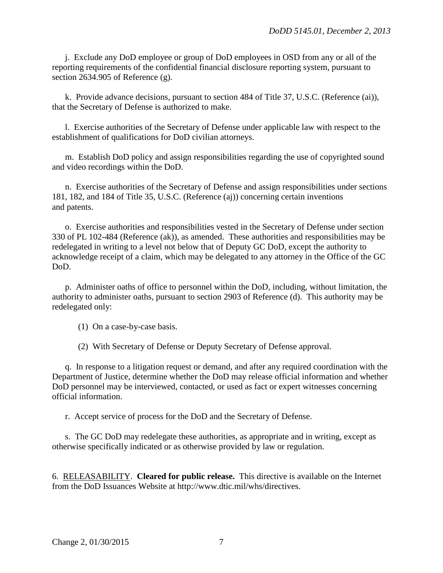j. Exclude any DoD employee or group of DoD employees in OSD from any or all of the reporting requirements of the confidential financial disclosure reporting system, pursuant to section 2634.905 of Reference (g).

 k. Provide advance decisions, pursuant to section 484 of Title 37, U.S.C. (Reference (ai)), that the Secretary of Defense is authorized to make.

 l. Exercise authorities of the Secretary of Defense under applicable law with respect to the establishment of qualifications for DoD civilian attorneys.

 m. Establish DoD policy and assign responsibilities regarding the use of copyrighted sound and video recordings within the DoD.

 n. Exercise authorities of the Secretary of Defense and assign responsibilities under sections 181, 182, and 184 of Title 35, U.S.C. (Reference (aj)) concerning certain inventions and patents.

 o. Exercise authorities and responsibilities vested in the Secretary of Defense under section 330 of PL 102-484 (Reference (ak)), as amended. These authorities and responsibilities may be redelegated in writing to a level not below that of Deputy GC DoD, except the authority to acknowledge receipt of a claim, which may be delegated to any attorney in the Office of the GC DoD.

 p. Administer oaths of office to personnel within the DoD, including, without limitation, the authority to administer oaths, pursuant to section 2903 of Reference (d). This authority may be redelegated only:

(1) On a case-by-case basis.

(2) With Secretary of Defense or Deputy Secretary of Defense approval.

 q. In response to a litigation request or demand, and after any required coordination with the Department of Justice, determine whether the DoD may release official information and whether DoD personnel may be interviewed, contacted, or used as fact or expert witnesses concerning official information.

r. Accept service of process for the DoD and the Secretary of Defense.

 s. The GC DoD may redelegate these authorities, as appropriate and in writing, except as otherwise specifically indicated or as otherwise provided by law or regulation.

6. RELEASABILITY. **Cleared for public release.** This directive is available on the Internet from the DoD Issuances Website at http://www.dtic.mil/whs/directives.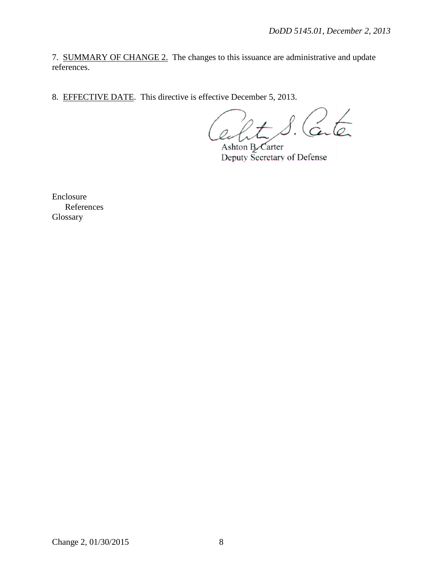7. SUMMARY OF CHANGE 2. The changes to this issuance are administrative and update references.

8. EFFECTIVE DATE. This directive is effective December 5, 2013.

Center

Ashton B. Carter Deputy Secretary of Defense

Enclosure References Glossary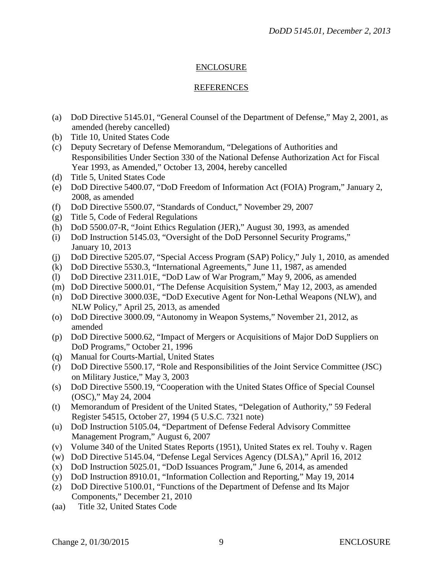## ENCLOSURE

#### REFERENCES

- (a) DoD Directive 5145.01, "General Counsel of the Department of Defense," May 2, 2001, as amended (hereby cancelled)
- (b) Title 10, United States Code
- (c) Deputy Secretary of Defense Memorandum, "Delegations of Authorities and Responsibilities Under Section 330 of the National Defense Authorization Act for Fiscal Year 1993, as Amended," October 13, 2004, hereby cancelled
- (d) Title 5, United States Code
- (e) DoD Directive 5400.07, "DoD Freedom of Information Act (FOIA) Program," January 2, 2008, as amended
- (f) DoD Directive 5500.07, "Standards of Conduct," November 29, 2007
- (g) Title 5, Code of Federal Regulations
- (h) DoD 5500.07-R, "Joint Ethics Regulation (JER)," August 30, 1993, as amended
- (i) DoD Instruction 5145.03, "Oversight of the DoD Personnel Security Programs," January 10, 2013
- (j) DoD Directive 5205.07, "Special Access Program (SAP) Policy," July 1, 2010, as amended
- (k) DoD Directive 5530.3, "International Agreements," June 11, 1987, as amended
- (l) DoD Directive 2311.01E, "DoD Law of War Program," May 9, 2006, as amended
- (m) DoD Directive 5000.01, "The Defense Acquisition System," May 12, 2003, as amended
- (n) DoD Directive 3000.03E, "DoD Executive Agent for Non-Lethal Weapons (NLW), and NLW Policy," April 25, 2013, as amended
- (o) DoD Directive 3000.09, "Autonomy in Weapon Systems," November 21, 2012, as amended
- (p) DoD Directive 5000.62, "Impact of Mergers or Acquisitions of Major DoD Suppliers on DoD Programs," October 21, 1996
- (q) Manual for Courts-Martial, United States
- (r) DoD Directive 5500.17, "Role and Responsibilities of the Joint Service Committee (JSC) on Military Justice," May 3, 2003
- (s) DoD Directive 5500.19, "Cooperation with the United States Office of Special Counsel (OSC)," May 24, 2004
- (t) Memorandum of President of the United States, "Delegation of Authority," 59 Federal Register 54515, October 27, 1994 (5 U.S.C. 7321 note)
- (u) DoD Instruction 5105.04, "Department of Defense Federal Advisory Committee Management Program," August 6, 2007
- (v) Volume 340 of the United States Reports (1951), United States ex rel. Touhy v. Ragen
- (w) DoD Directive 5145.04, "Defense Legal Services Agency (DLSA)," April 16, 2012
- (x) DoD Instruction 5025.01, "DoD Issuances Program," June 6, 2014, as amended
- (y) DoD Instruction 8910.01, "Information Collection and Reporting," May 19, 2014
- (z) DoD Directive 5100.01, "Functions of the Department of Defense and Its Major Components," December 21, 2010
- (aa) Title 32, United States Code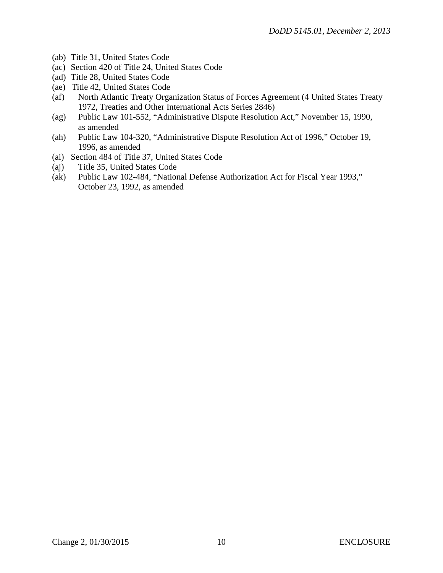- (ab) Title 31, United States Code
- (ac) Section 420 of Title 24, United States Code
- (ad) Title 28, United States Code
- (ae) Title 42, United States Code
- (af) North Atlantic Treaty Organization Status of Forces Agreement (4 United States Treaty 1972, Treaties and Other International Acts Series 2846)
- (ag) Public Law 101-552, "Administrative Dispute Resolution Act," November 15, 1990, as amended
- (ah) Public Law 104-320, "Administrative Dispute Resolution Act of 1996," October 19, 1996, as amended
- (ai) Section 484 of Title 37, United States Code
- (aj) Title 35, United States Code
- (ak) Public Law 102-484, "National Defense Authorization Act for Fiscal Year 1993," October 23, 1992, as amended